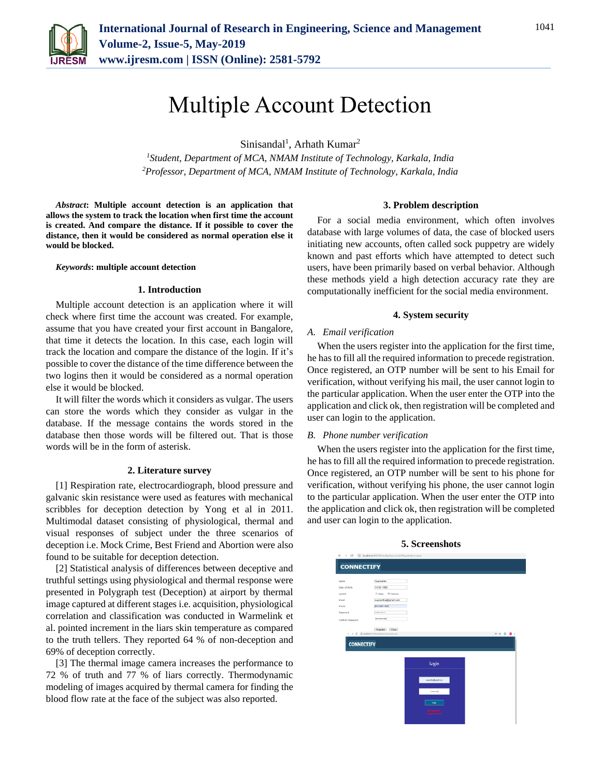

## Multiple Account Detection

Sinisandal<sup>1</sup>, Arhath Kumar<sup>2</sup>

*<sup>1</sup>Student, Department of MCA, NMAM Institute of Technology, Karkala, India 2Professor, Department of MCA, NMAM Institute of Technology, Karkala, India*

*Abstract***: Multiple account detection is an application that allows the system to track the location when first time the account is created. And compare the distance. If it possible to cover the distance, then it would be considered as normal operation else it would be blocked.**

#### *Keywords***: multiple account detection**

#### **1. Introduction**

Multiple account detection is an application where it will check where first time the account was created. For example, assume that you have created your first account in Bangalore, that time it detects the location. In this case, each login will track the location and compare the distance of the login. If it's possible to cover the distance of the time difference between the two logins then it would be considered as a normal operation else it would be blocked.

It will filter the words which it considers as vulgar. The users can store the words which they consider as vulgar in the database. If the message contains the words stored in the database then those words will be filtered out. That is those words will be in the form of asterisk.

#### **2. Literature survey**

[1] Respiration rate, electrocardiograph, blood pressure and galvanic skin resistance were used as features with mechanical scribbles for deception detection by Yong et al in 2011. Multimodal dataset consisting of physiological, thermal and visual responses of subject under the three scenarios of deception i.e. Mock Crime, Best Friend and Abortion were also found to be suitable for deception detection.

[2] Statistical analysis of differences between deceptive and truthful settings using physiological and thermal response were presented in Polygraph test (Deception) at airport by thermal image captured at different stages i.e. acquisition, physiological correlation and classification was conducted in Warmelink et al. pointed increment in the liars skin temperature as compared to the truth tellers. They reported 64 % of non-deception and 69% of deception correctly.

[3] The thermal image camera increases the performance to 72 % of truth and 77 % of liars correctly. Thermodynamic modeling of images acquired by thermal camera for finding the blood flow rate at the face of the subject was also reported.

#### **3. Problem description**

For a social media environment, which often involves database with large volumes of data, the case of blocked users initiating new accounts, often called sock puppetry are widely known and past efforts which have attempted to detect such users, have been primarily based on verbal behavior. Although these methods yield a high detection accuracy rate they are computationally inefficient for the social media environment.

#### **4. System security**

#### *A. Email verification*

When the users register into the application for the first time, he has to fill all the required information to precede registration. Once registered, an OTP number will be sent to his Email for verification, without verifying his mail, the user cannot login to the particular application. When the user enter the OTP into the application and click ok, then registration will be completed and user can login to the application.

#### *B. Phone number verification*

When the users register into the application for the first time, he has to fill all the required information to precede registration. Once registered, an OTP number will be sent to his phone for verification, without verifying his phone, the user cannot login to the particular application. When the user enter the OTP into the application and click ok, then registration will be completed and user can login to the application.

# **CONNECTIFY CONNECTIFY** Login

#### **5. Screenshots**